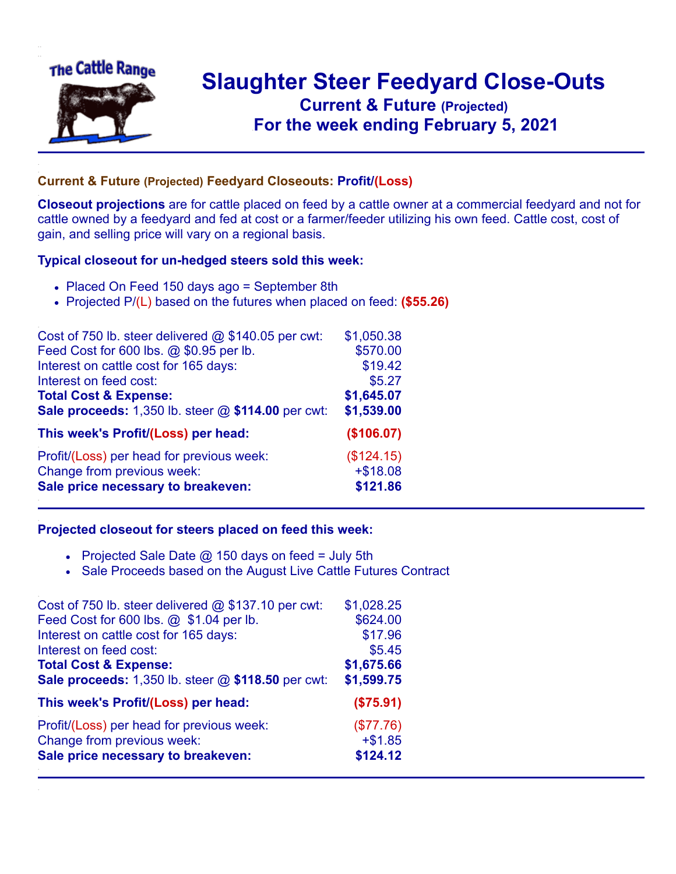

## **Slaughter Steer Feedyard Close-Outs Current & Future (Projected)** .**For the week ending February 5, 2021**

## **Current & Future (Projected) Feedyard Closeouts: Profit/(Loss)**

**Closeout projections** are for cattle placed on feed by a cattle owner at a commercial feedyard and not for cattle owned by a feedyard and fed at cost or a farmer/feeder utilizing his own feed. Cattle cost, cost of gain, and selling price will vary on a regional basis.

## **Typical closeout for un-hedged steers sold this week:**

- Placed On Feed 150 days ago = September 8th
- Projected P/(L) based on the futures when placed on feed: **(\$55.26)**

| Cost of 750 lb. steer delivered $@$ \$140.05 per cwt: | \$1,050.38 |
|-------------------------------------------------------|------------|
| Feed Cost for 600 lbs. @ \$0.95 per lb.               | \$570.00   |
| Interest on cattle cost for 165 days:                 | \$19.42    |
| Interest on feed cost:                                | \$5.27     |
| <b>Total Cost &amp; Expense:</b>                      | \$1,645.07 |
| Sale proceeds: 1,350 lb. steer @ \$114.00 per cwt:    | \$1,539.00 |
| This week's Profit/(Loss) per head:                   | (\$106.07) |
| Profit/(Loss) per head for previous week:             | (\$124.15) |
| Change from previous week:                            | $+ $18.08$ |
| Sale price necessary to breakeven:                    | \$121.86   |

## **Projected closeout for steers placed on feed this week:**

- Projected Sale Date  $@$  150 days on feed = July 5th
- Sale Proceeds based on the August Live Cattle Futures Contract

| Cost of 750 lb. steer delivered $@$ \$137.10 per cwt: | \$1,028.25 |
|-------------------------------------------------------|------------|
| Feed Cost for 600 lbs. @ \$1.04 per lb.               | \$624.00   |
| Interest on cattle cost for 165 days:                 | \$17.96    |
| Interest on feed cost:                                | \$5.45     |
| <b>Total Cost &amp; Expense:</b>                      | \$1,675.66 |
| Sale proceeds: 1,350 lb. steer @ \$118.50 per cwt:    | \$1,599.75 |
| This week's Profit/(Loss) per head:                   | (\$75.91)  |
| Profit/(Loss) per head for previous week:             | (\$77.76)  |
| Change from previous week:                            | $+ $1.85$  |
| Sale price necessary to breakeven:                    | \$124.12   |